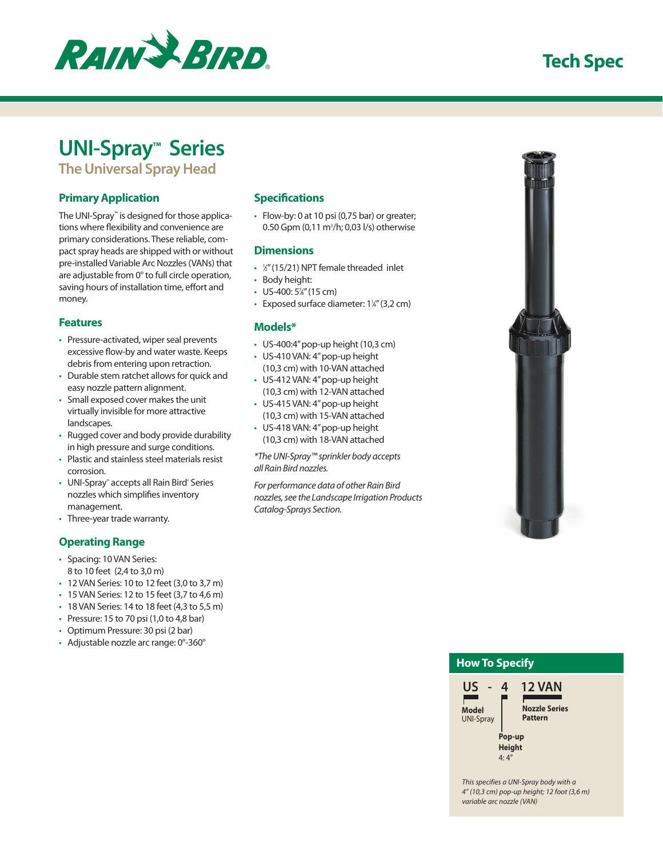

# **Tech Spec**

# **UNI-Spray™ Series**

**The Universal Spray Head** 

# **Primary Application**

The UNI-Spray™ is designed for those applications where flexibility and convenience are primary considerations. These reliable, compact spray heads are shipped with or without pre-installed Variable Arc Nozzles (VANs) that are adjustable from 0° to full circle operation, saving hours of installation time, effort and money.

# **Features**

- • Pressure-activated, wiper seal prevents excessive flow-by and water waste. Keeps debris from entering upon retraction.
- • Durable stem ratchet allows for quick and easy nozzle pattern alignment.
- Small exposed cover makes the unit virtually invisible for more attractive landscapes.
- Rugged cover and body provide durability in high pressure and surge conditions.
- • Plastic and stainless steel materials resist corrosion.
- UNI-Spray™ accepts all Rain Bird® Series nozzles which simplifies inventory management.
- Three-year trade warranty.

# **Operating Range**

- Spacing: 10 VAN Series:
- 8 to 10 feet (2,4 to 3,0 m)
- • 12 VAN Series: 10 to 12 feet (3,0 to 3,7 m)
- • 15 VAN Series: 12 to 15 feet (3,7 to 4,6 m)
- • 18 VAN Series: 14 to 18 feet (4,3 to 5,5 m)
- Pressure: 15 to 70 psi (1,0 to 4,8 bar)
- • Optimum Pressure: 30 psi (2 bar)
- • Adjustable nozzle arc range: 0°-360°

### **Specifications**

• Flow-by: 0 at 10 psi (0,75 bar) or greater; 0.50 Gpm (0,11 m<sup>3</sup>/h; 0,03 l/s) otherwise

#### **Dimensions**

- $\frac{1}{2}$ " (15/21) NPT female threaded inlet
- Body height:
- US-400: 5%" (15 cm)
- Exposed surface diameter: 1<sup>1/4</sup> (3,2 cm)

# **Models\***

- $\cdot$  US-400:4" pop-up height (10,3 cm)
- • US-410 VAN: 4" pop-up height (10,3 cm) with 10-VAN attached
- • US-412 VAN: 4" pop-up height (10,3 cm) with 12-VAN attached
- • US-415 VAN: 4" pop-up height (10,3 cm) with 15-VAN attached
- • US-418 VAN: 4" pop-up height (10,3 cm) with 18-VAN attached

*\*The UNI-Spray™ sprinkler body accepts all Rain Bird nozzles.*

*For performance data of other Rain Bird nozzles, see the Landscape Irrigation Products Catalog-Sprays Section.*



#### **How To Specify US - 4 12 VAN Model** UNI-Spray **Nozzle Series Pattern**

**Pop-up Height** 4: 4"

*This specifies a UNI-Spray body with a 4" (10,3 cm) pop-up height; 12 foot (3,6 m) variable arc nozzle (VAN)*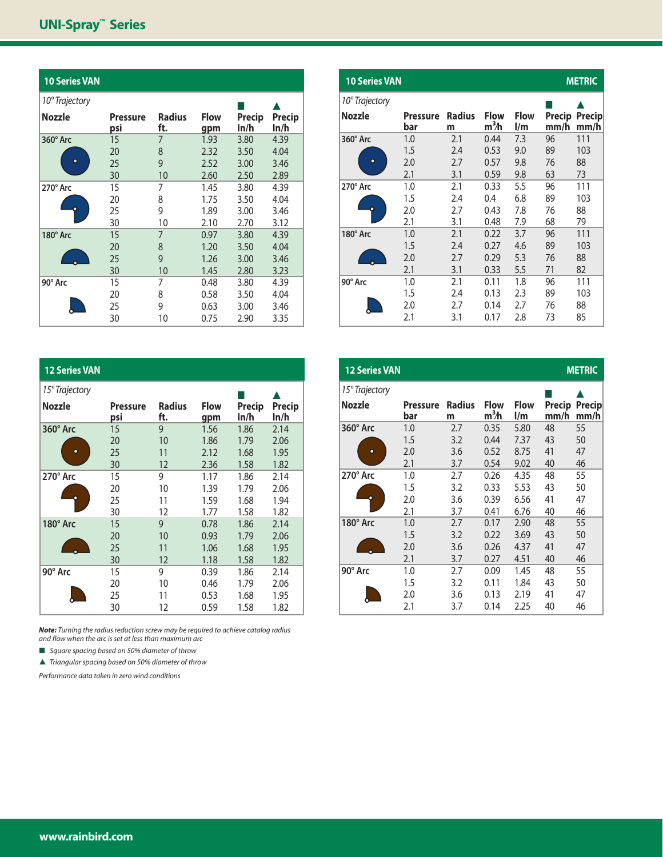| 10 Series VAN   |                        |                      |                    |                |                |
|-----------------|------------------------|----------------------|--------------------|----------------|----------------|
| 10° Trajectory  |                        |                      |                    |                |                |
| <b>Nozzle</b>   | <b>Pressure</b><br>psi | <b>Radius</b><br>ft. | <b>Flow</b><br>qpm | Precip<br>ln/h | Precip<br>In/h |
| 360° Arc        | 15                     | $\overline{7}$       | 1.93               | 3.80           | 4.39           |
|                 | 20                     | 8                    | 2.32               | 3.50           | 4.04           |
| ٠               | 25                     | 9                    | 2.52               | 3.00           | 3.46           |
|                 | 30                     | 10                   | 2.60               | 2.50           | 2.89           |
| $270^\circ$ Arc | 15                     | 7                    | 1.45               | 3.80           | 4.39           |
|                 | 20                     | 8                    | 1.75               | 3.50           | 4.04           |
|                 | 25                     | 9                    | 1.89               | 3.00           | 3.46           |
|                 | 30                     | 10                   | 2.10               | 2.70           | 3.12           |
| 180° Arc        | 15                     | $\overline{7}$       | 0.97               | 3.80           | 4.39           |
|                 | 20                     | 8                    | 1.20               | 3.50           | 4.04           |
|                 | 25                     | 9                    | 1.26               | 3.00           | 3.46           |
|                 | 30                     | 10                   | 1.45               | 2.80           | 3.23           |
| 90° Arc         | 15                     | 7                    | 0.48               | 3.80           | 4.39           |
|                 | 20                     | 8                    | 0.58               | 3.50           | 4.04           |
|                 | 25                     | 9                    | 0.63               | 3.00           | 3.46           |
|                 | 30                     | 10                   | 0.75               | 2.90           | 3.35           |

| <b>10 Series VAN</b> |                        |                    |                                  |                                        |                              | <b>METRIC</b> |  |
|----------------------|------------------------|--------------------|----------------------------------|----------------------------------------|------------------------------|---------------|--|
| 10° Trajectory       |                        |                    |                                  |                                        |                              |               |  |
| <b>Nozzle</b>        | <b>Pressure</b><br>bar | <b>Radius</b><br>m | <b>Flow</b><br>m <sup>3</sup> /h | <b>Flow</b><br>$\mathsf{I}/\mathsf{m}$ | <b>Precip Precip</b><br>mm/h | mm/h          |  |
| $360^\circ$ Arc      | 1.0                    | 2.1                | 0.44                             | 7.3                                    | 96                           | 111           |  |
|                      | 1.5                    | 2.4                | 0.53                             | 9.0                                    | 89                           | 103           |  |
| o                    | 2.0                    | 2.7                | 0.57                             | 9.8                                    | 76                           | 88            |  |
|                      | 2.1                    | 3.1                | 0.59                             | 9.8                                    | 63                           | 73            |  |
| 270° Arc             | 1.0                    | 2.1                | 0.33                             | 5.5                                    | 96                           | 111           |  |
|                      | 1.5                    | 2.4                | 0.4                              | 6.8                                    | 89                           | 103           |  |
|                      | 2.0                    | 2.7                | 0.43                             | 7.8                                    | 76                           | 88            |  |
|                      | 2.1                    | 3.1                | 0.48                             | 7.9                                    | 68                           | 79            |  |
| $180^\circ$ Arc      | 1.0                    | 2.1                | 0.22                             | 3.7                                    | 96                           | 111           |  |
|                      | 1.5                    | 2.4                | 0.27                             | 4.6                                    | 89                           | 103           |  |
|                      | 2.0                    | 2.7                | 0.29                             | 5.3                                    | 76                           | 88            |  |
|                      | 2.1                    | 3.1                | 0.33                             | 5.5                                    | 71                           | 82            |  |
| 90° Arc              | 1.0                    | 2.1                | 0.11                             | 1.8                                    | 96                           | 111           |  |
|                      | 1.5                    | 2.4                | 0.13                             | 2.3                                    | 89                           | 103           |  |
|                      | 2.0                    | 2.7                | 0.14                             | 2.7                                    | 76                           | 88            |  |
|                      | 2.1                    | 3.1                | 0.17                             | 2.8                                    | 73                           | 85            |  |

| <b>12 Series VAN</b> |                 |               |                      |                      |                      |
|----------------------|-----------------|---------------|----------------------|----------------------|----------------------|
| 15° Trajectory       |                 |               |                      |                      |                      |
| <b>Nozzle</b>        | <b>Pressure</b> | <b>Radius</b> | <b>Flow</b>          | Precip               | <b>Precip</b>        |
|                      | psi             | ft.           | gpm                  | ln/h                 | ln/h                 |
| $360^\circ$ Arc<br>٠ | 15<br>20<br>25  | 9<br>10<br>11 | 1.56<br>1.86<br>2.12 | 1.86<br>1.79<br>1.68 | 2.14<br>2.06<br>1.95 |
| $270^\circ$ Arc      | 30              | 12            | 2.36                 | 1.58                 | 1.82                 |
|                      | 15              | 9             | 1.17                 | 1.86                 | 2.14                 |
|                      | 20              | 10            | 1.39                 | 1.79                 | 2.06                 |
|                      | 25              | 11            | 1.59                 | 1.68                 | 1.94                 |
|                      | 30              | 12            | 1.77                 | 1.58                 | 1.82                 |
| 180° Arc             | 15              | 9             | 0.78                 | 1.86                 | 2.14                 |
|                      | 20              | 10            | 0.93                 | 1.79                 | 2.06                 |
|                      | 25              | 11            | 1.06                 | 1.68                 | 1.95                 |
|                      | 30              | 12            | 1.18                 | 1.58                 | 1.82                 |
| 90° Arc              | 15              | 9             | 0.39                 | 1.86                 | 2.14                 |
|                      | 20              | 10            | 0.46                 | 1.79                 | 2.06                 |
|                      | 25              | 11            | 0.53                 | 1.68                 | 1.95                 |
|                      | 30              | 12            | 0.59                 | 1.58                 | 1.82                 |

*Note: Turning the radius reduction screw may be required to achieve catalog radius and flow when the arc is set at less than maximum arc*

■ *Square spacing based on 50% diameter of throw* 

 $\blacktriangle$  *Triangular spacing based on 50% diameter of throw* 

*Performance data taken in zero wind conditions*

| <b>12 Series VAN</b> |                 |                    |                       |                                        |      | <b>METRIC</b>                |
|----------------------|-----------------|--------------------|-----------------------|----------------------------------------|------|------------------------------|
| 15° Trajectory       |                 |                    |                       |                                        |      |                              |
| <b>Nozzle</b>        | Pressure<br>bar | <b>Radius</b><br>m | <b>Flow</b><br>$m3$ h | <b>Flow</b><br>$\mathsf{I}/\mathsf{m}$ | mm/h | <b>Precip Precip</b><br>mm/h |
| $360^\circ$ Arc      | 1.0             | 2.7                | 0.35                  | 5.80                                   | 48   | 55                           |
|                      | 1.5             | 3.2                | 0.44                  | 7.37                                   | 43   | 50                           |
| ٠                    | 2.0             | 3.6                | 0.52                  | 8.75                                   | 41   | 47                           |
|                      | 2.1             | 3.7                | 0.54                  | 9.02                                   | 40   | 46                           |
| $270^\circ$ Arc      | 1.0             | 2.7                | 0.26                  | 4.35                                   | 48   | 55                           |
|                      | 1.5             | 3.2                | 0.33                  | 5.53                                   | 43   | 50                           |
|                      | 2.0             | 3.6                | 0.39                  | 6.56                                   | 41   | 47                           |
|                      | 2.1             | 3.7                | 0.41                  | 6.76                                   | 40   | 46                           |
| $180^\circ$ Arc      | 1.0             | 2.7                | 0.17                  | 2.90                                   | 48   | 55                           |
|                      | 1.5             | 3.2                | 0.22                  | 3.69                                   | 43   | 50                           |
|                      | 2.0             | 3.6                | 0.26                  | 4.37                                   | 41   | 47                           |
|                      | 2.1             | 3.7                | 0.27                  | 4.51                                   | 40   | 46                           |
| 90° Arc              | 1.0             | 2.7                | 0.09                  | 1.45                                   | 48   | 55                           |
|                      | 1.5             | 3.2                | 0.11                  | 1.84                                   | 43   | 50                           |
|                      | 2.0             | 3.6                | 0.13                  | 2.19                                   | 41   | 47                           |
|                      | 2.1             | 3.7                | 0.14                  | 2.25                                   | 40   | 46                           |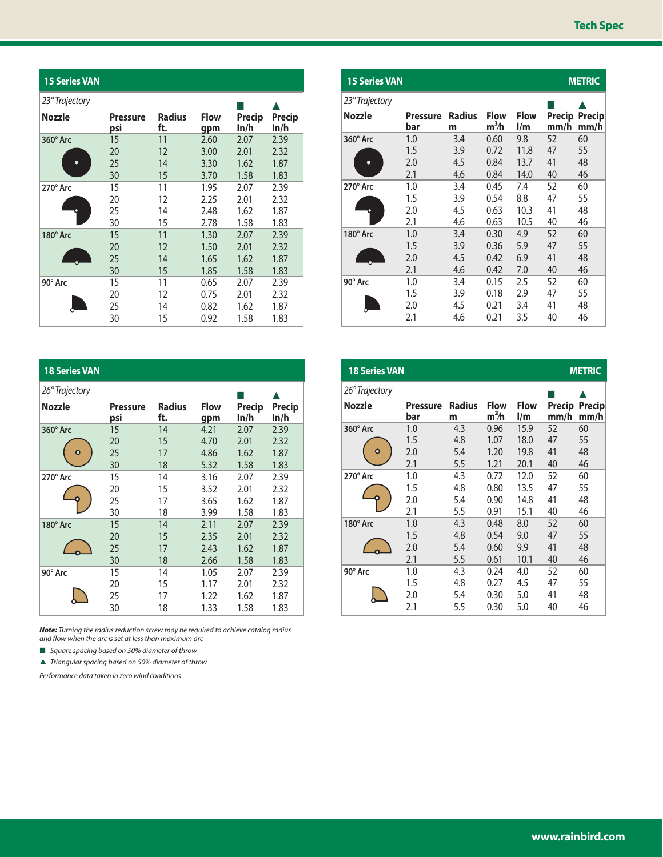| <b>15 Series VAN</b> |                        |                      |                    |                |                       |
|----------------------|------------------------|----------------------|--------------------|----------------|-----------------------|
| 23° Trajectory       |                        |                      |                    |                |                       |
| <b>Nozzle</b>        | <b>Pressure</b><br>psi | <b>Radius</b><br>ft. | <b>Flow</b><br>gpm | Precip<br>ln/h | <b>Precip</b><br>In/h |
| 360° Arc             | 15                     | 11                   | 2.60               | 2.07           | 2.39                  |
|                      | 20                     | 12                   | 3.00               | 2.01           | 2.32                  |
| ٠                    | 25                     | 14                   | 3.30               | 1.62           | 1.87                  |
|                      | 30                     | 15                   | 3.70               | 1.58           | 1.83                  |
| $270^\circ$ Arc      | 15                     | 11                   | 1.95               | 2.07           | 2.39                  |
|                      | 20                     | 12                   | 2.25               | 2.01           | 2.32                  |
|                      | 25                     | 14                   | 2.48               | 1.62           | 1.87                  |
|                      | 30                     | 15                   | 2.78               | 1.58           | 1.83                  |
| 180° Arc             | 15                     | 11                   | 1.30               | 2.07           | 2.39                  |
|                      | 20                     | 12                   | 1.50               | 2.01           | 2.32                  |
|                      | 25                     | 14                   | 1.65               | 1.62           | 1.87                  |
|                      | 30                     | 15                   | 1.85               | 1.58           | 1.83                  |
| 90° Arc              | 15                     | 11                   | 0.65               | 2.07           | 2.39                  |
|                      | 20                     | 12                   | 0.75               | 2.01           | 2.32                  |
|                      | 25                     | 14                   | 0.82               | 1.62           | 1.87                  |
|                      | 30                     | 15                   | 0.92               | 1.58           | 1.83                  |

| <b>15 Series VAN</b> |                        |                    |                                  |                                        |                       | <b>METRIC</b> |  |
|----------------------|------------------------|--------------------|----------------------------------|----------------------------------------|-----------------------|---------------|--|
| 23° Trajectory       |                        |                    |                                  |                                        |                       |               |  |
| <b>Nozzle</b>        | <b>Pressure</b><br>bar | <b>Radius</b><br>m | <b>Flow</b><br>m <sup>3</sup> /h | <b>Flow</b><br>$\mathsf{I}/\mathsf{m}$ | Precip Precip<br>mm/h | mm/h          |  |
| 360° Arc             | 1.0                    | 3.4                | 0.60                             | 9.8                                    | 52                    | 60            |  |
|                      | 1.5                    | 3.9                | 0.72                             | 11.8                                   | 47                    | 55            |  |
| 0                    | 2.0                    | 4.5                | 0.84                             | 13.7                                   | 41                    | 48            |  |
|                      | 2.1                    | 4.6                | 0.84                             | 14.0                                   | 40                    | 46            |  |
| $270^\circ$ Arc      | 1.0                    | 3.4                | 0.45                             | 7.4                                    | 52                    | 60            |  |
|                      | 1.5                    | 3.9                | 0.54                             | 8.8                                    | 47                    | 55            |  |
|                      | 2.0                    | 4.5                | 0.63                             | 10.3                                   | 41                    | 48            |  |
|                      | 2.1                    | 4.6                | 0.63                             | 10.5                                   | 40                    | 46            |  |
| $180^\circ$ Arc      | 1.0                    | 3.4                | 0.30                             | 4.9                                    | 52                    | 60            |  |
|                      | 1.5                    | 3.9                | 0.36                             | 5.9                                    | 47                    | 55            |  |
|                      | 2.0                    | 4.5                | 0.42                             | 6.9                                    | 41                    | 48            |  |
|                      | 2.1                    | 4.6                | 0.42                             | 7.0                                    | 40                    | 46            |  |
| 90° Arc              | 1.0                    | 3.4                | 0.15                             | 2.5                                    | 52                    | 60            |  |
|                      | 1.5                    | 3.9                | 0.18                             | 2.9                                    | 47                    | 55            |  |
|                      | 2.0                    | 4.5                | 0.21                             | 3.4                                    | 41                    | 48            |  |
|                      | 2.1                    | 4.6                | 0.21                             | 3.5                                    | 40                    | 46            |  |

| <b>18 Series VAN</b> |                        |                      |                    |                |                       |
|----------------------|------------------------|----------------------|--------------------|----------------|-----------------------|
| 26° Trajectory       |                        |                      |                    |                |                       |
| <b>Nozzle</b>        | <b>Pressure</b><br>psi | <b>Radius</b><br>ft. | <b>Flow</b><br>gpm | Precip<br>ln/h | <b>Precip</b><br>ln/h |
| 360° Arc             | 15                     | 14                   | 4.21               | 2.07           | 2.39                  |
|                      | 20                     | 15                   | 4.70               | 2.01           | 2.32                  |
|                      | 25                     | 17                   | 4.86               | 1.62           | 1.87                  |
|                      | 30                     | 18                   | 5.32               | 1.58           | 1.83                  |
| $270^\circ$ Arc      | 15                     | 14                   | 3.16               | 2.07           | 2.39                  |
|                      | 20                     | 15                   | 3.52               | 2.01           | 2.32                  |
|                      | 25                     | 17                   | 3.65               | 1.62           | 1.87                  |
|                      | 30                     | 18                   | 3.99               | 1.58           | 1.83                  |
| 180° Arc             | 15                     | 14                   | 2.11               | 2.07           | 2.39                  |
|                      | 20                     | 15                   | 2.35               | 2.01           | 2.32                  |
|                      | 25                     | 17                   | 2.43               | 1.62           | 1,87                  |
|                      | 30                     | 18                   | 2.66               | 1.58           | 1.83                  |
| 90° Arc              | 15                     | 14                   | 1.05               | 2.07           | 2.39                  |
|                      | 20                     | 15                   | 1.17               | 2.01           | 2.32                  |
|                      | 25                     | 17                   | 1.22               | 1.62           | 1.87                  |
|                      | 30                     | 18                   | 1.33               | 1.58           | 1.83                  |

*Note: Turning the radius reduction screw may be required to achieve catalog radius and flow when the arc is set at less than maximum arc*

■ *Square spacing based on 50% diameter of throw* 

 $\triangle$  *Triangular spacing based on 50% diameter of throw* 

*Performance data taken in zero wind conditions*

| <b>18 Series VAN</b> |                        |                    |                                  |                                        |      | <b>METRIC</b>                |
|----------------------|------------------------|--------------------|----------------------------------|----------------------------------------|------|------------------------------|
| 26° Trajectory       |                        |                    |                                  |                                        |      |                              |
| <b>Nozzle</b>        | <b>Pressure</b><br>bar | <b>Radius</b><br>m | <b>Flow</b><br>m <sup>3</sup> /h | <b>Flow</b><br>$\mathsf{I}/\mathsf{m}$ | mm/h | <b>Precip Precip</b><br>mm/h |
| $360^\circ$ Arc      | 1.0                    | 4.3                | 0.96                             | 15.9                                   | 52   | 60                           |
|                      | 1.5                    | 4.8                | 1.07                             | 18.0                                   | 47   | 55                           |
| Ο                    | 2.0                    | 5.4                | 1.20                             | 19.8                                   | 41   | 48                           |
|                      | 2.1                    | 5.5                | 1.21                             | 20.1                                   | 40   | 46                           |
| 270° Arc             | 1.0                    | 4.3                | 0.72                             | 12.0                                   | 52   | 60                           |
|                      | 1.5                    | 4.8                | 0.80                             | 13.5                                   | 47   | 55                           |
|                      | 2.0                    | 5.4                | 0.90                             | 14.8                                   | 41   | 48                           |
|                      | 2.1                    | 5.5                | 0.91                             | 15.1                                   | 40   | 46                           |
| 180° Arc             | 1.0                    | 4.3                | 0.48                             | 8.0                                    | 52   | 60                           |
|                      | 1.5                    | 4.8                | 0.54                             | 9.0                                    | 47   | 55                           |
|                      | 2.0                    | 5.4                | 0.60                             | 9.9                                    | 41   | 48                           |
|                      | 2.1                    | 5.5                | 0.61                             | 10.1                                   | 40   | 46                           |
| 90° Arc              | 1.0                    | 4.3                | 0.24                             | 4.0                                    | 52   | 60                           |
|                      | 1.5                    | 4.8                | 0.27                             | 4.5                                    | 47   | 55                           |
|                      | 2.0                    | 5.4                | 0.30                             | 5.0                                    | 41   | 48                           |
|                      | 2.1                    | 5.5                | 0.30                             | 5.0                                    | 40   | 46                           |